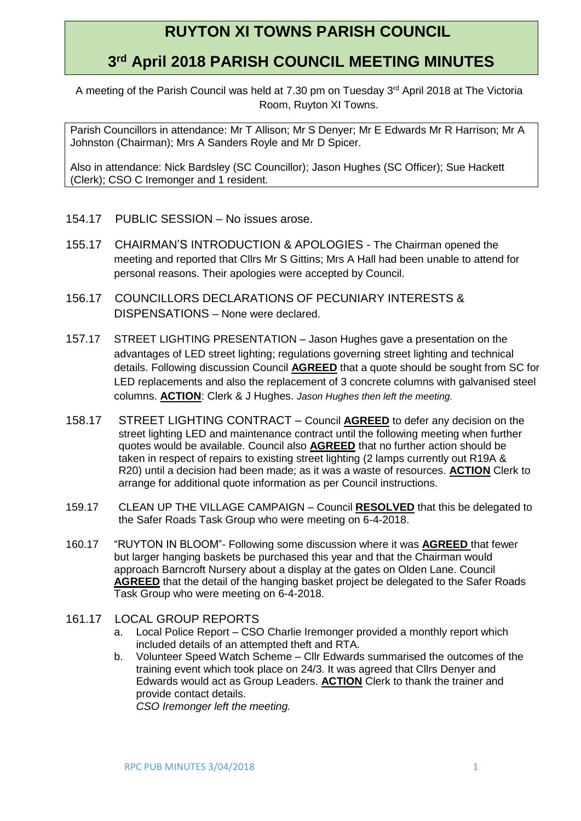## **RUYTON XI TOWNS PARISH COUNCIL**

## **3 rd April 2018 PARISH COUNCIL MEETING MINUTES**

A meeting of the Parish Council was held at 7.30 pm on Tuesday 3<sup>rd</sup> April 2018 at The Victoria Room, Ruyton XI Towns.

Parish Councillors in attendance: Mr T Allison; Mr S Denyer; Mr E Edwards Mr R Harrison; Mr A Johnston (Chairman); Mrs A Sanders Royle and Mr D Spicer.

Also in attendance: Nick Bardsley (SC Councillor); Jason Hughes (SC Officer); Sue Hackett (Clerk); CSO C Iremonger and 1 resident.

- 154.17 PUBLIC SESSION No issues arose.
- 155.17 CHAIRMAN'S INTRODUCTION & APOLOGIES The Chairman opened the meeting and reported that Cllrs Mr S Gittins; Mrs A Hall had been unable to attend for personal reasons. Their apologies were accepted by Council.
- 156.17 COUNCILLORS DECLARATIONS OF PECUNIARY INTERESTS & DISPENSATIONS – None were declared.
- 157.17 STREET LIGHTING PRESENTATION Jason Hughes gave a presentation on the advantages of LED street lighting; regulations governing street lighting and technical details. Following discussion Council **AGREED** that a quote should be sought from SC for LED replacements and also the replacement of 3 concrete columns with galvanised steel columns. **ACTION**: Clerk & J Hughes. *Jason Hughes then left the meeting.*
- 158.17 STREET LIGHTING CONTRACT Council **AGREED** to defer any decision on the street lighting LED and maintenance contract until the following meeting when further quotes would be available. Council also **AGREED** that no further action should be taken in respect of repairs to existing street lighting (2 lamps currently out R19A & R20) until a decision had been made; as it was a waste of resources. **ACTION** Clerk to arrange for additional quote information as per Council instructions.
- 159.17 CLEAN UP THE VILLAGE CAMPAIGN Council **RESOLVED** that this be delegated to the Safer Roads Task Group who were meeting on 6-4-2018.
- 160.17 "RUYTON IN BLOOM"- Following some discussion where it was **AGREED** that fewer but larger hanging baskets be purchased this year and that the Chairman would approach Barncroft Nursery about a display at the gates on Olden Lane. Council **AGREED** that the detail of the hanging basket project be delegated to the Safer Roads Task Group who were meeting on 6-4-2018.
- 161.17 LOCAL GROUP REPORTS
	- a. Local Police Report CSO Charlie Iremonger provided a monthly report which included details of an attempted theft and RTA.
	- b. Volunteer Speed Watch Scheme Cllr Edwards summarised the outcomes of the training event which took place on 24/3. It was agreed that Cllrs Denyer and Edwards would act as Group Leaders. **ACTION** Clerk to thank the trainer and provide contact details.

*CSO Iremonger left the meeting.*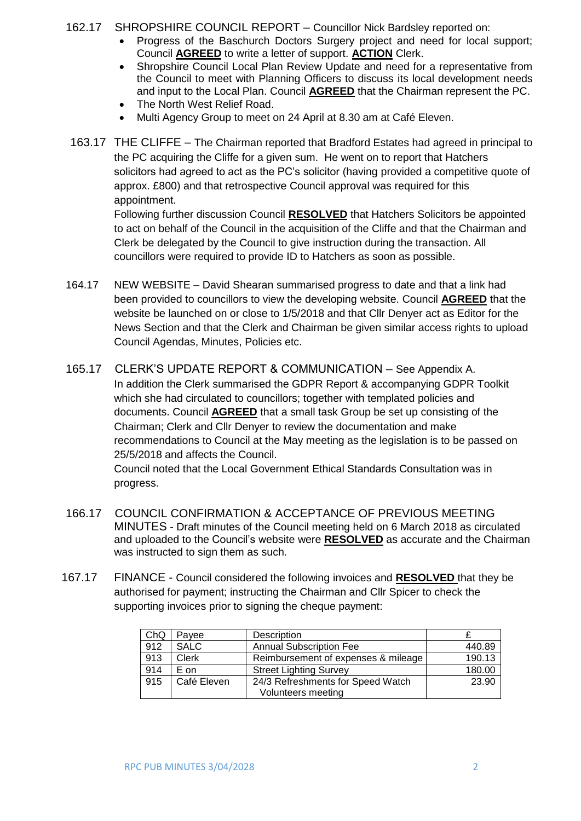162.17 SHROPSHIRE COUNCIL REPORT – Councillor Nick Bardsley reported on:

- Progress of the Baschurch Doctors Surgery project and need for local support; Council **AGREED** to write a letter of support. **ACTION** Clerk.
- Shropshire Council Local Plan Review Update and need for a representative from the Council to meet with Planning Officers to discuss its local development needs and input to the Local Plan. Council **AGREED** that the Chairman represent the PC.
- The North West Relief Road.
- Multi Agency Group to meet on 24 April at 8.30 am at Café Eleven.
- 163.17 THE CLIFFE The Chairman reported that Bradford Estates had agreed in principal to the PC acquiring the Cliffe for a given sum. He went on to report that Hatchers solicitors had agreed to act as the PC's solicitor (having provided a competitive quote of approx. £800) and that retrospective Council approval was required for this appointment.

Following further discussion Council **RESOLVED** that Hatchers Solicitors be appointed to act on behalf of the Council in the acquisition of the Cliffe and that the Chairman and Clerk be delegated by the Council to give instruction during the transaction. All councillors were required to provide ID to Hatchers as soon as possible.

- 164.17 NEW WEBSITE David Shearan summarised progress to date and that a link had been provided to councillors to view the developing website. Council **AGREED** that the website be launched on or close to 1/5/2018 and that Cllr Denyer act as Editor for the News Section and that the Clerk and Chairman be given similar access rights to upload Council Agendas, Minutes, Policies etc.
- 165.17 CLERK'S UPDATE REPORT & COMMUNICATION See Appendix A. In addition the Clerk summarised the GDPR Report & accompanying GDPR Toolkit which she had circulated to councillors; together with templated policies and documents. Council **AGREED** that a small task Group be set up consisting of the Chairman; Clerk and Cllr Denyer to review the documentation and make recommendations to Council at the May meeting as the legislation is to be passed on 25/5/2018 and affects the Council.

Council noted that the Local Government Ethical Standards Consultation was in progress.

- 166.17 COUNCIL CONFIRMATION & ACCEPTANCE OF PREVIOUS MEETING MINUTES - Draft minutes of the Council meeting held on 6 March 2018 as circulated and uploaded to the Council's website were **RESOLVED** as accurate and the Chairman was instructed to sign them as such.
- 167.17 FINANCE Council considered the following invoices and **RESOLVED** that they be authorised for payment; instructing the Chairman and Cllr Spicer to check the supporting invoices prior to signing the cheque payment:

| ChQ | Pavee        | Description                         |        |
|-----|--------------|-------------------------------------|--------|
| 912 | <b>SALC</b>  | <b>Annual Subscription Fee</b>      | 440.89 |
| 913 | <b>Clerk</b> | Reimbursement of expenses & mileage | 190.13 |
| 914 | E on         | <b>Street Lighting Survey</b>       | 180.00 |
| 915 | Café Eleven  | 24/3 Refreshments for Speed Watch   | 23.90  |
|     |              | Volunteers meeting                  |        |